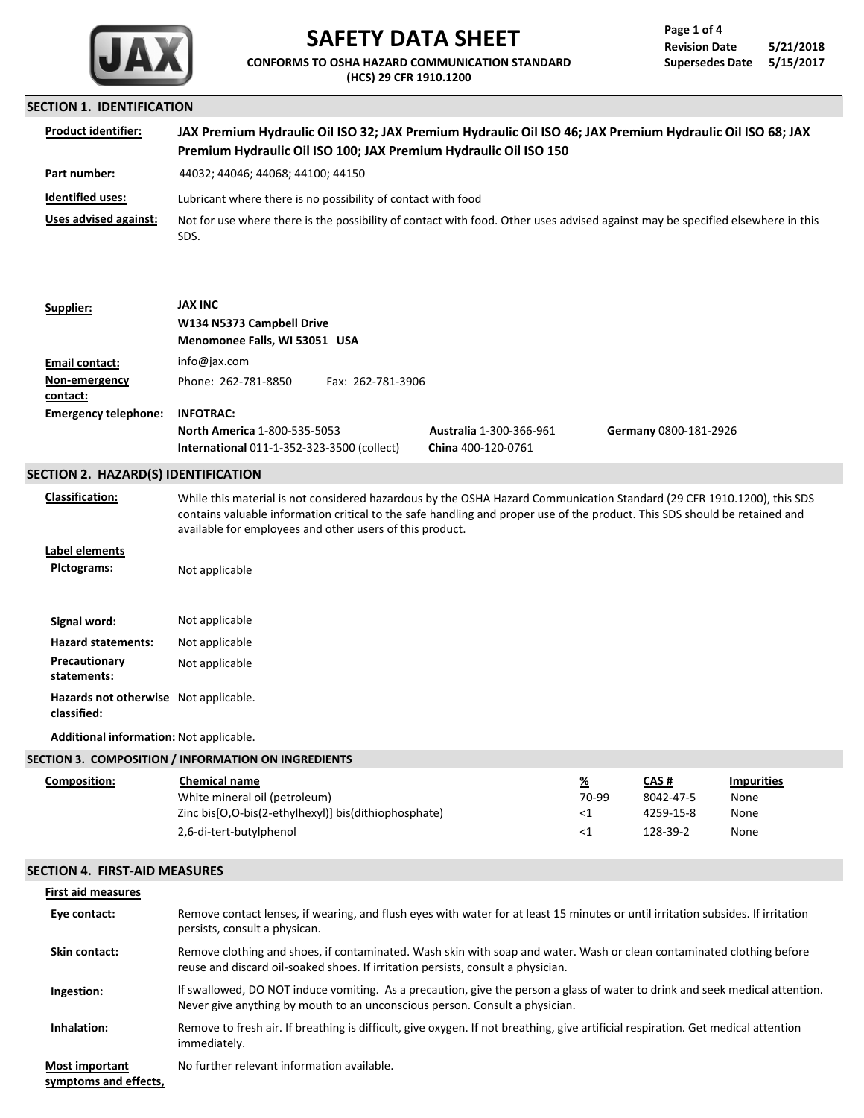

# **SAFETY DATA SHEET**

**CONFORMS TO OSHA HAZARD COMMUNICATION STANDARD (HCS) 29 CFR 1910.1200**

### **SECTION 1. IDENTIFICATION**

| <b>Product identifier:</b> | JAX Premium Hydraulic Oil ISO 32; JAX Premium Hydraulic Oil ISO 46; JAX Premium Hydraulic Oil ISO 68; JAX<br>Premium Hydraulic Oil ISO 100; JAX Premium Hydraulic Oil ISO 150 |
|----------------------------|-------------------------------------------------------------------------------------------------------------------------------------------------------------------------------|
| Part number:               | 44032; 44046; 44068; 44100; 44150                                                                                                                                             |
| <b>Identified uses:</b>    | Lubricant where there is no possibility of contact with food                                                                                                                  |
| Uses advised against:      | Not for use where there is the possibility of contact with food. Other uses advised against may be specified elsewhere in this<br>SDS.                                        |

| Supplier:                   | JAX INC                                           |                                |                       |  |
|-----------------------------|---------------------------------------------------|--------------------------------|-----------------------|--|
|                             | W134 N5373 Campbell Drive                         |                                |                       |  |
|                             | Menomonee Falls, WI 53051 USA                     |                                |                       |  |
| Email contact:              | info@jax.com                                      |                                |                       |  |
| Non-emergency               | Phone: 262-781-8850<br>Fax: 262-781-3906          |                                |                       |  |
| contact:                    |                                                   |                                |                       |  |
| <b>Emergency telephone:</b> | <b>INFOTRAC:</b>                                  |                                |                       |  |
|                             | <b>North America 1-800-535-5053</b>               | <b>Australia 1-300-366-961</b> | Germany 0800-181-2926 |  |
|                             | <b>International 011-1-352-323-3500 (collect)</b> | China 400-120-0761             |                       |  |

### **SECTION 2. HAZARD(S) IDENTIFICATION**

**Classification:**

While this material is not considered hazardous by the OSHA Hazard Communication Standard (29 CFR 1910.1200), this SDS contains valuable information critical to the safe handling and proper use of the product. This SDS should be retained and available for employees and other users of this product.

 $\leq 1$ 

128-39-2

None None None

**Label elements**

Signal word: Not applicable **PIctograms: Hazard statements:** Not applicable **Precautionary** Not applicable **statements:** Not applicable **Hazards not otherwise** Not applicable.

**classified:**

**Additional information:** Not applicable.

2,6-di-tert-butylphenol

| <b>Chemical name</b>                                    | %                                                   | CAS#      | <b>Impurities</b> |
|---------------------------------------------------------|-----------------------------------------------------|-----------|-------------------|
| White mineral oil (petroleum)                           | 70-99                                               | 8042-47-5 | None              |
| Zinc bis [O,O-bis (2-ethylhexyl)] bis (dithiophosphate) | <1                                                  | 4259-15-8 | None              |
|                                                         | SECTION 3. COMPOSITION / INFORMATION ON INGREDIENTS |           |                   |

### **SECTION 4. FIRST-AID MEASURES**

| <b>First aid measures</b>                      |                                                                                                                                                                                                             |
|------------------------------------------------|-------------------------------------------------------------------------------------------------------------------------------------------------------------------------------------------------------------|
| Eye contact:                                   | Remove contact lenses, if wearing, and flush eyes with water for at least 15 minutes or until irritation subsides. If irritation<br>persists, consult a physican.                                           |
| Skin contact:                                  | Remove clothing and shoes, if contaminated. Wash skin with soap and water. Wash or clean contaminated clothing before<br>reuse and discard oil-soaked shoes. If irritation persists, consult a physician.   |
| Ingestion:                                     | If swallowed, DO NOT induce vomiting. As a precaution, give the person a glass of water to drink and seek medical attention.<br>Never give anything by mouth to an unconscious person. Consult a physician. |
| Inhalation:                                    | Remove to fresh air. If breathing is difficult, give oxygen. If not breathing, give artificial respiration. Get medical attention<br>immediately.                                                           |
| <b>Most important</b><br>symptoms and effects, | No further relevant information available.                                                                                                                                                                  |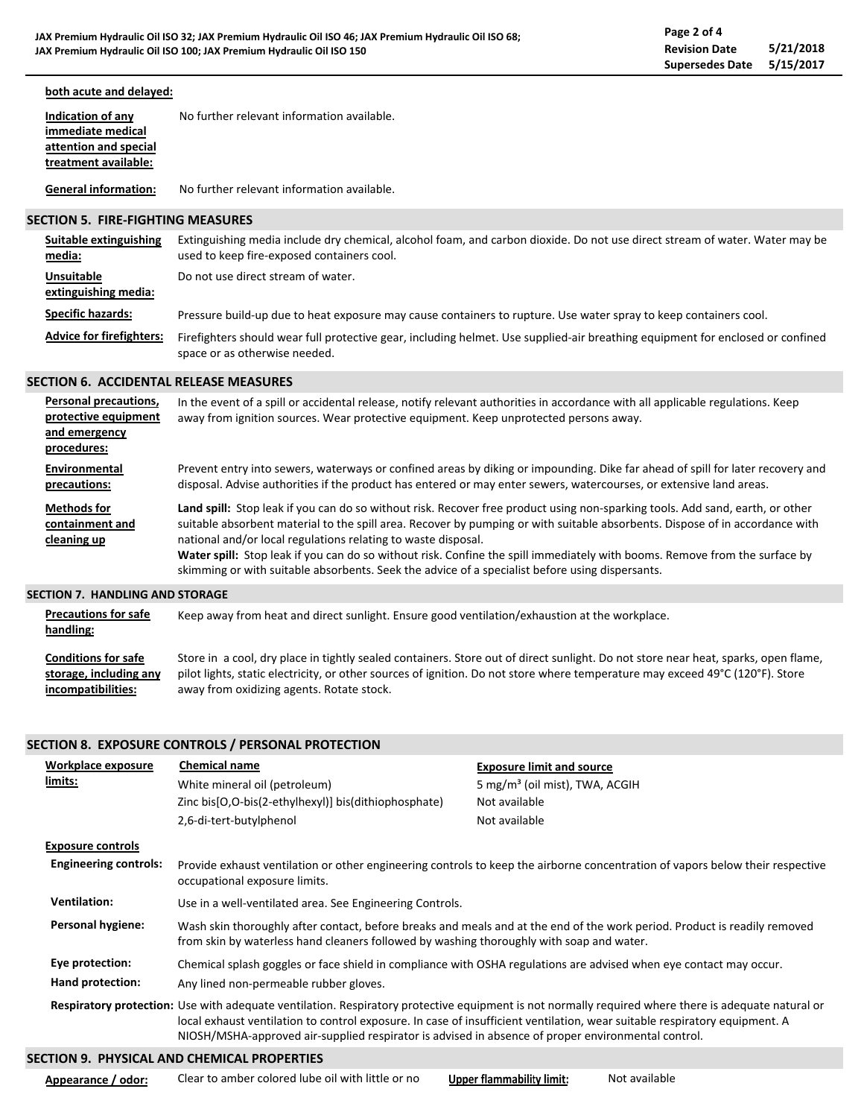### **both acute and delayed:**

| Indication of any     | No further relevant information available. |
|-----------------------|--------------------------------------------|
| immediate medical     |                                            |
| attention and special |                                            |
| treatment available:  |                                            |
|                       |                                            |

**General information:** No further relevant information available.

### **SECTION 5. FIRE-FIGHTING MEASURES**

| Suitable extinguishing<br>media:          | Extinguishing media include dry chemical, alcohol foam, and carbon dioxide. Do not use direct stream of water. Water may be<br>used to keep fire-exposed containers cool. |
|-------------------------------------------|---------------------------------------------------------------------------------------------------------------------------------------------------------------------------|
| <b>Unsuitable</b><br>extinguishing media: | Do not use direct stream of water.                                                                                                                                        |
| <b>Specific hazards:</b>                  | Pressure build-up due to heat exposure may cause containers to rupture. Use water spray to keep containers cool.                                                          |
| <b>Advice for firefighters:</b>           | Firefighters should wear full protective gear, including helmet. Use supplied-air breathing equipment for enclosed or confined<br>space or as otherwise needed.           |

### **SECTION 6. ACCIDENTAL RELEASE MEASURES**

| Personal precautions,<br>protective equipment<br>and emergency<br>procedures: | In the event of a spill or accidental release, notify relevant authorities in accordance with all applicable regulations. Keep<br>away from ignition sources. Wear protective equipment. Keep unprotected persons away.                                                                                                                                                                                                                                                                                                                                         |
|-------------------------------------------------------------------------------|-----------------------------------------------------------------------------------------------------------------------------------------------------------------------------------------------------------------------------------------------------------------------------------------------------------------------------------------------------------------------------------------------------------------------------------------------------------------------------------------------------------------------------------------------------------------|
| Environmental<br>precautions:                                                 | Prevent entry into sewers, waterways or confined areas by diking or impounding. Dike far ahead of spill for later recovery and<br>disposal. Advise authorities if the product has entered or may enter sewers, watercourses, or extensive land areas.                                                                                                                                                                                                                                                                                                           |
| <b>Methods for</b><br>containment and<br>cleaning up                          | Land spill: Stop leak if you can do so without risk. Recover free product using non-sparking tools. Add sand, earth, or other<br>suitable absorbent material to the spill area. Recover by pumping or with suitable absorbents. Dispose of in accordance with<br>national and/or local regulations relating to waste disposal.<br>Water spill: Stop leak if you can do so without risk. Confine the spill immediately with booms. Remove from the surface by<br>skimming or with suitable absorbents. Seek the advice of a specialist before using dispersants. |
| <b>SECTION 7. HANDLING AND STORAGE</b>                                        |                                                                                                                                                                                                                                                                                                                                                                                                                                                                                                                                                                 |

| <b>Precautions for safe</b><br>handling: | Keep away from heat and direct sunlight. Ensure good ventilation/exhaustion at the workplace.                                      |
|------------------------------------------|------------------------------------------------------------------------------------------------------------------------------------|
| <b>Conditions for safe</b>               | Store in a cool, dry place in tightly sealed containers. Store out of direct sunlight. Do not store near heat, sparks, open flame, |
| storage, including any                   | pilot lights, static electricity, or other sources of ignition. Do not store where temperature may exceed 49°C (120°F). Store      |
| incompatibilities:                       | away from oxidizing agents. Rotate stock.                                                                                          |

### **SECTION 8. EXPOSURE CONTROLS / PERSONAL PROTECTION**

| Workplace exposure           | <b>Chemical name</b>                                                                                                                                                                                                  | <b>Exposure limit and source</b>                                                                                                                                                                                                                                                  |  |
|------------------------------|-----------------------------------------------------------------------------------------------------------------------------------------------------------------------------------------------------------------------|-----------------------------------------------------------------------------------------------------------------------------------------------------------------------------------------------------------------------------------------------------------------------------------|--|
| limits:                      | White mineral oil (petroleum)                                                                                                                                                                                         | 5 mg/m <sup>3</sup> (oil mist), TWA, ACGIH                                                                                                                                                                                                                                        |  |
|                              | Zinc bis[O,O-bis(2-ethylhexyl)] bis(dithiophosphate)                                                                                                                                                                  | Not available                                                                                                                                                                                                                                                                     |  |
|                              | 2,6-di-tert-butylphenol                                                                                                                                                                                               | Not available                                                                                                                                                                                                                                                                     |  |
| <b>Exposure controls</b>     |                                                                                                                                                                                                                       |                                                                                                                                                                                                                                                                                   |  |
| <b>Engineering controls:</b> | occupational exposure limits.                                                                                                                                                                                         | Provide exhaust ventilation or other engineering controls to keep the airborne concentration of vapors below their respective                                                                                                                                                     |  |
| <b>Ventilation:</b>          | Use in a well-ventilated area. See Engineering Controls.                                                                                                                                                              |                                                                                                                                                                                                                                                                                   |  |
| Personal hygiene:            | Wash skin thoroughly after contact, before breaks and meals and at the end of the work period. Product is readily removed<br>from skin by waterless hand cleaners followed by washing thoroughly with soap and water. |                                                                                                                                                                                                                                                                                   |  |
| Eye protection:              | Chemical splash goggles or face shield in compliance with OSHA regulations are advised when eye contact may occur.                                                                                                    |                                                                                                                                                                                                                                                                                   |  |
| Hand protection:             | Any lined non-permeable rubber gloves.                                                                                                                                                                                |                                                                                                                                                                                                                                                                                   |  |
|                              | NIOSH/MSHA-approved air-supplied respirator is advised in absence of proper environmental control.                                                                                                                    | Respiratory protection: Use with adequate ventilation. Respiratory protective equipment is not normally required where there is adequate natural or<br>local exhaust ventilation to control exposure. In case of insufficient ventilation, wear suitable respiratory equipment. A |  |

## **SECTION 9. PHYSICAL AND CHEMICAL PROPERTIES**

**Appearance / odor:**

Clear to amber colored lube oil with little or no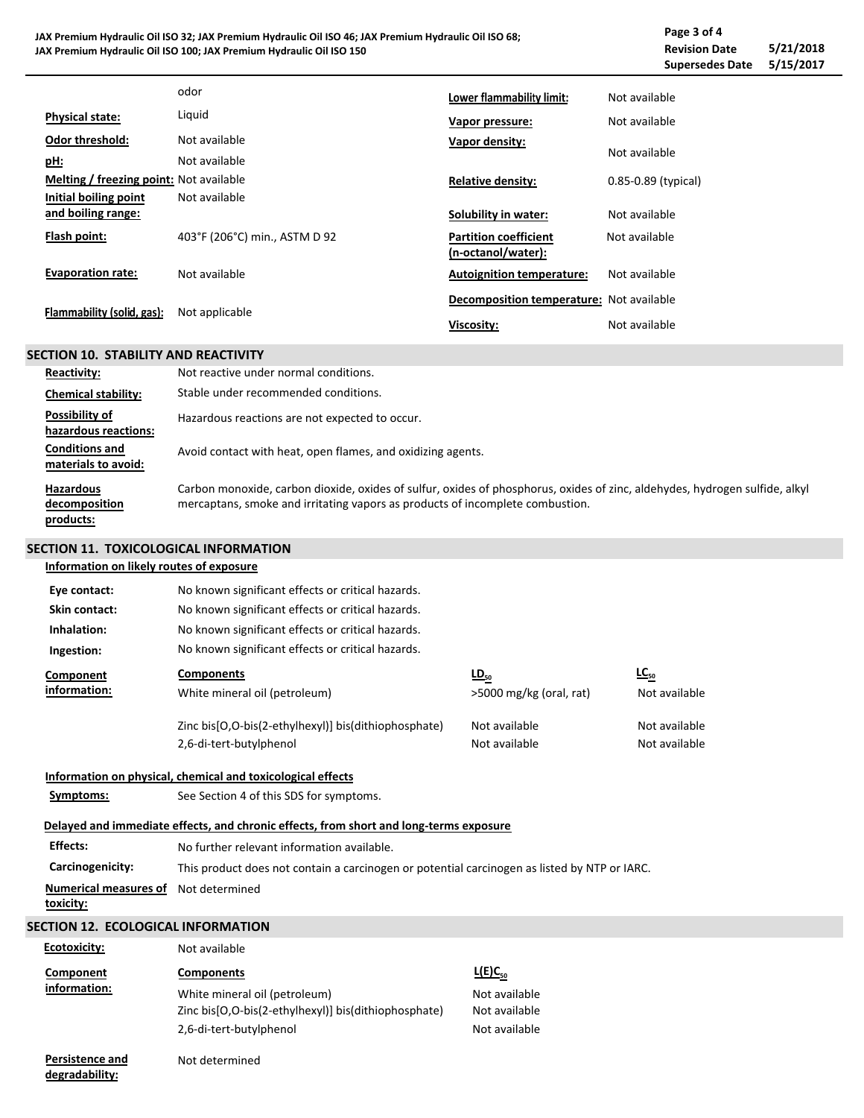**JAX Premium Hydraulic Oil ISO 32; JAX Premium Hydraulic Oil ISO 46; JAX Premium Hydraulic Oil ISO 68; JAX Premium Hydraulic Oil ISO 100; JAX Premium Hydraulic Oil ISO 150 Revision Date 5/21/2018 Supersedes Date Page 3 of 4**

|                                         | odor                          | Lower flammability limit:                          | Not available           |
|-----------------------------------------|-------------------------------|----------------------------------------------------|-------------------------|
| <b>Physical state:</b>                  | Liquid                        | Vapor pressure:                                    | Not available           |
| <b>Odor threshold:</b>                  | Not available                 | Vapor density:                                     |                         |
| pH:                                     | Not available                 |                                                    | Not available           |
| Melting / freezing point: Not available |                               | <b>Relative density:</b>                           | $0.85 - 0.89$ (typical) |
| Initial boiling point                   | Not available                 |                                                    |                         |
| and boiling range:                      |                               | Solubility in water:                               | Not available           |
| Flash point:                            | 403°F (206°C) min., ASTM D 92 | <b>Partition coefficient</b><br>(n-octanol/water): | Not available           |
| <b>Evaporation rate:</b>                | Not available                 | <b>Autoignition temperature:</b>                   | Not available           |
| Flammability (solid, gas):              | Not applicable                | Decomposition temperature: Not available           |                         |
|                                         |                               | Viscosity:                                         | Not available           |

### **SECTION 10. STABILITY AND REACTIVITY**

| <b>Reactivity:</b>                             | Not reactive under normal conditions.                                                                                                                                                                        |
|------------------------------------------------|--------------------------------------------------------------------------------------------------------------------------------------------------------------------------------------------------------------|
| <b>Chemical stability:</b>                     | Stable under recommended conditions.                                                                                                                                                                         |
| Possibility of<br>hazardous reactions:         | Hazardous reactions are not expected to occur.                                                                                                                                                               |
| <b>Conditions and</b><br>materials to avoid:   | Avoid contact with heat, open flames, and oxidizing agents.                                                                                                                                                  |
| <b>Hazardous</b><br>decomposition<br>products: | Carbon monoxide, carbon dioxide, oxides of sulfur, oxides of phosphorus, oxides of zinc, aldehydes, hydrogen sulfide, alkyl<br>mercaptans, smoke and irritating vapors as products of incomplete combustion. |

### **SECTION 11. TOXICOLOGICAL INFORMATION**

**Information on likely routes of exposure**

| Eye contact:                              | No known significant effects or critical hazards.                                            |                         |               |
|-------------------------------------------|----------------------------------------------------------------------------------------------|-------------------------|---------------|
| Skin contact:                             | No known significant effects or critical hazards.                                            |                         |               |
| Inhalation:                               | No known significant effects or critical hazards.                                            |                         |               |
| Ingestion:                                | No known significant effects or critical hazards.                                            |                         |               |
| Component                                 | <b>Components</b>                                                                            | $\underline{LD}_{50}$   | $LC_{50}$     |
| information:                              | White mineral oil (petroleum)                                                                | >5000 mg/kg (oral, rat) | Not available |
|                                           | Zinc bis[O,O-bis(2-ethylhexyl)] bis(dithiophosphate)                                         | Not available           | Not available |
|                                           | 2,6-di-tert-butylphenol                                                                      | Not available           | Not available |
|                                           | Information on physical, chemical and toxicological effects                                  |                         |               |
| Symptoms:                                 | See Section 4 of this SDS for symptoms.                                                      |                         |               |
|                                           | Delayed and immediate effects, and chronic effects, from short and long-terms exposure       |                         |               |
| <b>Effects:</b>                           | No further relevant information available.                                                   |                         |               |
| Carcinogenicity:                          | This product does not contain a carcinogen or potential carcinogen as listed by NTP or IARC. |                         |               |
| <b>Numerical measures of</b><br>toxicity: | Not determined                                                                               |                         |               |
| <b>SECTION 12. ECOLOGICAL INFORMATION</b> |                                                                                              |                         |               |
| Ecotoxicity:                              | Not available                                                                                |                         |               |
| Component                                 | <b>Components</b>                                                                            | $L(E)C_{50}$            |               |
| information:                              | White mineral oil (petroleum)                                                                | Not available           |               |
|                                           | Zinc bis[O,O-bis(2-ethylhexyl)] bis(dithiophosphate)                                         | Not available           |               |
|                                           | 2,6-di-tert-butylphenol                                                                      | Not available           |               |

**Persistence and degradability:**

Not determined